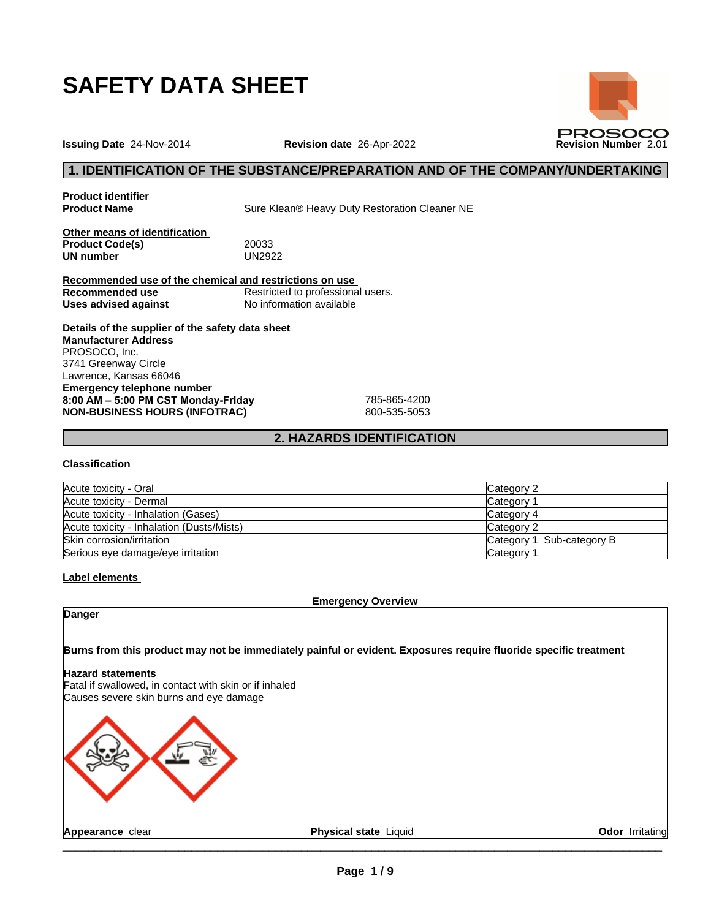

**PROSOCO** 

**Issuing Date** 24-Nov-2014 **Revision date** 26-Apr-2022 **Revision Number** 2.01

## **1. IDENTIFICATION OF THE SUBSTANCE/PREPARATION AND OF THE COMPANY/UNDERTAKING**

**Product identifier**

**Product Name** Sure Klean® Heavy Duty Restoration Cleaner NE

**Other means of identification Product Code(s)** 20033<br> **UN number** UN2922 **UN number** 

**Recommended use of the chemical and restrictions on use Recommended use** Restricted to professional users. **Uses advised against** No information available

**Details of the supplier of the safety data sheet Emergency telephone number 8:00AM–5:00PMCSTMonday-Friday** 785-865-4200 **NON-BUSINESS HOURS (INFOTRAC)** 800-535-5053 **Manufacturer Address** PROSOCO, Inc. 3741 Greenway Circle Lawrence, Kansas 66046

## **2. HAZARDS IDENTIFICATION**

#### **Classification**

| Acute toxicity - Oral                     | Category 2                |
|-------------------------------------------|---------------------------|
| Acute toxicity - Dermal                   | Category <sup>-</sup>     |
| Acute toxicity - Inhalation (Gases)       | Category 4                |
| Acute toxicity - Inhalation (Dusts/Mists) | lCategory 2               |
| Skin corrosion/irritation                 | Category 1 Sub-category B |
| Serious eye damage/eye irritation         | Category                  |

#### **Label elements**

**Emergency Overview**

**Danger**

**Burns from this product may not be immediately painful or evident. Exposures require fluoride specific treatment**

#### **Hazard statements**

Fatal if swallowed, in contact with skin or if inhaled Causes severe skin burns and eye damage

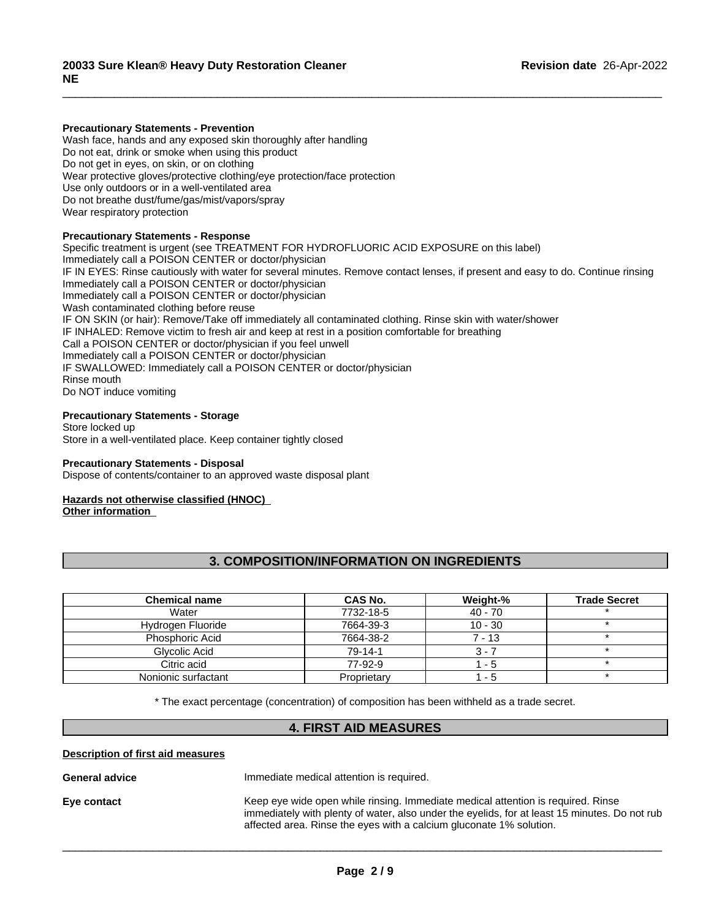#### **Precautionary Statements - Prevention**

Wash face, hands and any exposed skin thoroughly after handling Do not eat, drink or smoke when using this product Do not get in eyes, on skin, or on clothing Wear protective gloves/protective clothing/eye protection/face protection Use only outdoors or in a well-ventilated area Do not breathe dust/fume/gas/mist/vapors/spray Wear respiratory protection

#### **Precautionary Statements - Response**

Specific treatment is urgent (see TREATMENT FOR HYDROFLUORIC ACID EXPOSURE on this label) Immediately call a POISON CENTER or doctor/physician IF IN EYES: Rinse cautiously with water for several minutes. Remove contact lenses, if present and easy to do. Continue rinsing Immediately call a POISON CENTER or doctor/physician Immediately call a POISON CENTER or doctor/physician Wash contaminated clothing before reuse IF ON SKIN (or hair): Remove/Take off immediately all contaminated clothing. Rinse skin with water/shower IF INHALED: Remove victim to fresh air and keep at rest in a position comfortable for breathing Call a POISON CENTER or doctor/physician if you feel unwell Immediately call a POISON CENTER or doctor/physician IF SWALLOWED: Immediately call a POISON CENTER or doctor/physician Rinse mouth Do NOT induce vomiting

 $\overline{\phantom{a}}$  ,  $\overline{\phantom{a}}$  ,  $\overline{\phantom{a}}$  ,  $\overline{\phantom{a}}$  ,  $\overline{\phantom{a}}$  ,  $\overline{\phantom{a}}$  ,  $\overline{\phantom{a}}$  ,  $\overline{\phantom{a}}$  ,  $\overline{\phantom{a}}$  ,  $\overline{\phantom{a}}$  ,  $\overline{\phantom{a}}$  ,  $\overline{\phantom{a}}$  ,  $\overline{\phantom{a}}$  ,  $\overline{\phantom{a}}$  ,  $\overline{\phantom{a}}$  ,  $\overline{\phantom{a}}$ 

#### **Precautionary Statements - Storage**

Store locked up Store in a well-ventilated place. Keep container tightly closed

#### **Precautionary Statements - Disposal**

Dispose of contents/container to an approved waste disposal plant

#### **Hazards not otherwise classified (HNOC)**

**Other information**

## **3. COMPOSITION/INFORMATION ON INGREDIENTS**

| <b>Chemical name</b> | CAS No.     | Weight-%  | <b>Trade Secret</b> |
|----------------------|-------------|-----------|---------------------|
| Water                | 7732-18-5   | $40 - 70$ |                     |
| Hydrogen Fluoride    | 7664-39-3   | $10 - 30$ |                     |
| Phosphoric Acid      | 7664-38-2   | 7 - 13    |                     |
| Glycolic Acid        | $79-14-1$   | 3 - 1     |                     |
| Citric acid          | 77-92-9     | - 5       |                     |
| Nonionic surfactant  | Proprietary | - 5       |                     |

\* The exact percentage (concentration) ofcomposition has been withheld as a trade secret.

## **4. FIRST AID MEASURES**

#### **Description of first aid measures**

**General advice** Immediate medical attention is required. **Eye contact** Exercise Exercise Contact Keep eye wide open while rinsing. Immediate medical attention is required. Rinse immediately with plenty of water, also under the eyelids, for at least 15 minutes. Do not rub affected area. Rinse the eyes with a calcium gluconate 1% solution.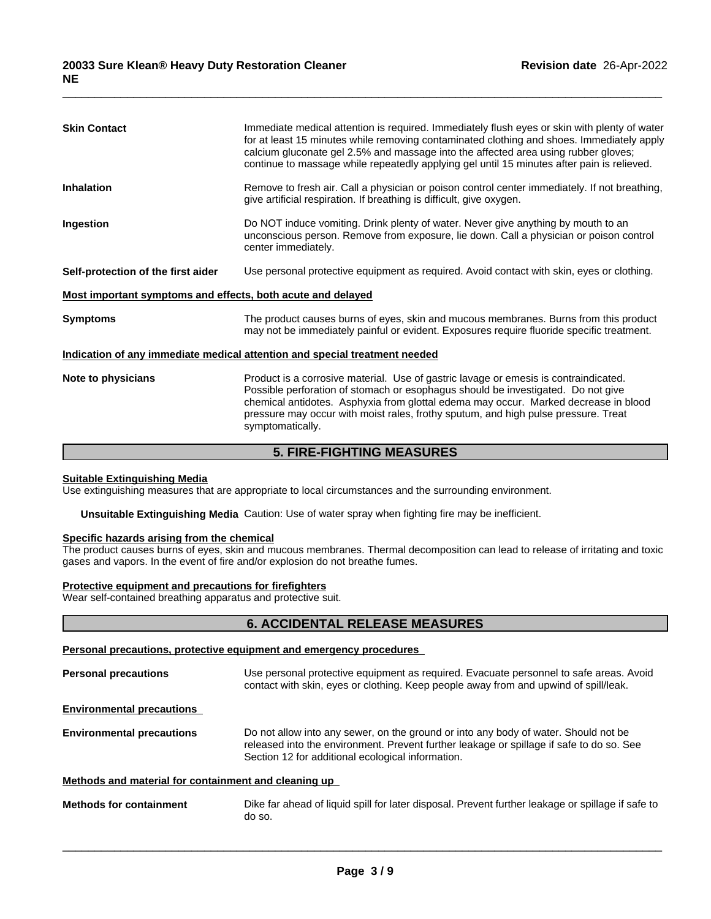| <b>Skin Contact</b>                                         | Immediate medical attention is required. Immediately flush eyes or skin with plenty of water<br>for at least 15 minutes while removing contaminated clothing and shoes. Immediately apply<br>calcium gluconate gel 2.5% and massage into the affected area using rubber gloves;<br>continue to massage while repeatedly applying gel until 15 minutes after pain is relieved. |  |
|-------------------------------------------------------------|-------------------------------------------------------------------------------------------------------------------------------------------------------------------------------------------------------------------------------------------------------------------------------------------------------------------------------------------------------------------------------|--|
| <b>Inhalation</b>                                           | Remove to fresh air. Call a physician or poison control center immediately. If not breathing,<br>give artificial respiration. If breathing is difficult, give oxygen.                                                                                                                                                                                                         |  |
| Ingestion                                                   | Do NOT induce vomiting. Drink plenty of water. Never give anything by mouth to an<br>unconscious person. Remove from exposure, lie down. Call a physician or poison control<br>center immediately.                                                                                                                                                                            |  |
| Self-protection of the first aider                          | Use personal protective equipment as required. Avoid contact with skin, eyes or clothing.                                                                                                                                                                                                                                                                                     |  |
| Most important symptoms and effects, both acute and delayed |                                                                                                                                                                                                                                                                                                                                                                               |  |
| <b>Symptoms</b>                                             | The product causes burns of eyes, skin and mucous membranes. Burns from this product<br>may not be immediately painful or evident. Exposures require fluoride specific treatment.                                                                                                                                                                                             |  |
|                                                             | Indication of any immediate medical attention and special treatment needed                                                                                                                                                                                                                                                                                                    |  |
| Note to physicians                                          | Product is a corrosive material. Use of gastric lavage or emesis is contraindicated.<br>Possible perforation of stomach or esophagus should be investigated. Do not give<br>chemical antidotes. Asphyxia from glottal edema may occur. Marked decrease in blood<br>pressure may occur with moist rales, frothy sputum, and high pulse pressure. Treat<br>symptomatically.     |  |
|                                                             |                                                                                                                                                                                                                                                                                                                                                                               |  |

 $\overline{\phantom{a}}$  ,  $\overline{\phantom{a}}$  ,  $\overline{\phantom{a}}$  ,  $\overline{\phantom{a}}$  ,  $\overline{\phantom{a}}$  ,  $\overline{\phantom{a}}$  ,  $\overline{\phantom{a}}$  ,  $\overline{\phantom{a}}$  ,  $\overline{\phantom{a}}$  ,  $\overline{\phantom{a}}$  ,  $\overline{\phantom{a}}$  ,  $\overline{\phantom{a}}$  ,  $\overline{\phantom{a}}$  ,  $\overline{\phantom{a}}$  ,  $\overline{\phantom{a}}$  ,  $\overline{\phantom{a}}$ 

## **5. FIRE-FIGHTING MEASURES**

## **Suitable Extinguishing Media**

Use extinguishing measures that are appropriate to local circumstances and the surrounding environment.

**Unsuitable Extinguishing Media** Caution: Use of water spray when fighting fire may be inefficient.

## **Specific hazards arising from the chemical**

The product causes burns of eyes, skin and mucous membranes. Thermal decomposition can lead to release of irritating and toxic gases and vapors. In the event of fire and/or explosion do not breathe fumes.

#### **Protective equipment and precautions for firefighters**

Wear self-contained breathing apparatus and protective suit.

## **6. ACCIDENTAL RELEASE MEASURES**

## **Personal precautions, protective equipment and emergency procedures**

| <b>Personal precautions</b>                          | Use personal protective equipment as required. Evacuate personnel to safe areas. Avoid<br>contact with skin, eyes or clothing. Keep people away from and upwind of spill/leak.                                                       |  |
|------------------------------------------------------|--------------------------------------------------------------------------------------------------------------------------------------------------------------------------------------------------------------------------------------|--|
| <b>Environmental precautions</b>                     |                                                                                                                                                                                                                                      |  |
| <b>Environmental precautions</b>                     | Do not allow into any sewer, on the ground or into any body of water. Should not be<br>released into the environment. Prevent further leakage or spillage if safe to do so. See<br>Section 12 for additional ecological information. |  |
| Methods and material for containment and cleaning up |                                                                                                                                                                                                                                      |  |
| <b>Methods for containment</b>                       | Dike far ahead of liquid spill for later disposal. Prevent further leakage or spillage if safe to<br>do so.                                                                                                                          |  |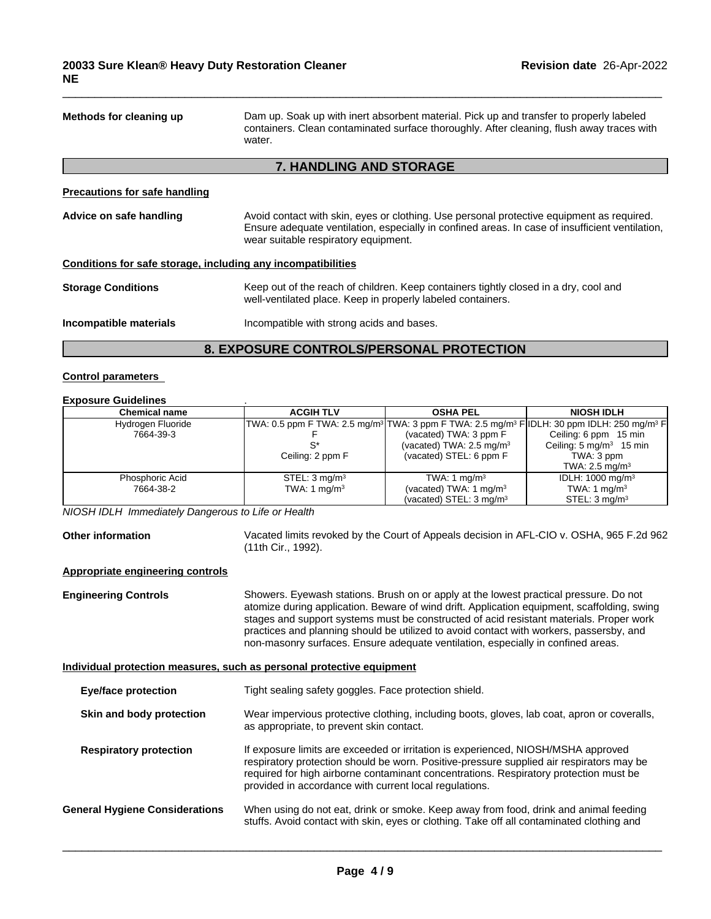| Methods for cleaning up                                      | Dam up. Soak up with inert absorbent material. Pick up and transfer to properly labeled<br>containers. Clean contaminated surface thoroughly. After cleaning, flush away traces with<br>water.                                       |
|--------------------------------------------------------------|--------------------------------------------------------------------------------------------------------------------------------------------------------------------------------------------------------------------------------------|
|                                                              | <b>7. HANDLING AND STORAGE</b>                                                                                                                                                                                                       |
| <b>Precautions for safe handling</b>                         |                                                                                                                                                                                                                                      |
| Advice on safe handling                                      | Avoid contact with skin, eyes or clothing. Use personal protective equipment as required.<br>Ensure adequate ventilation, especially in confined areas. In case of insufficient ventilation,<br>wear suitable respiratory equipment. |
| Conditions for safe storage, including any incompatibilities |                                                                                                                                                                                                                                      |
| <b>Storage Conditions</b>                                    | Keep out of the reach of children. Keep containers tightly closed in a dry, cool and<br>well-ventilated place. Keep in properly labeled containers.                                                                                  |
| Incompatible materials                                       | Incompatible with strong acids and bases.                                                                                                                                                                                            |
|                                                              | 8. EXPOSURE CONTROLS/PERSONAL PROTECTION                                                                                                                                                                                             |

 $\overline{\phantom{a}}$  ,  $\overline{\phantom{a}}$  ,  $\overline{\phantom{a}}$  ,  $\overline{\phantom{a}}$  ,  $\overline{\phantom{a}}$  ,  $\overline{\phantom{a}}$  ,  $\overline{\phantom{a}}$  ,  $\overline{\phantom{a}}$  ,  $\overline{\phantom{a}}$  ,  $\overline{\phantom{a}}$  ,  $\overline{\phantom{a}}$  ,  $\overline{\phantom{a}}$  ,  $\overline{\phantom{a}}$  ,  $\overline{\phantom{a}}$  ,  $\overline{\phantom{a}}$  ,  $\overline{\phantom{a}}$ 

## **Control parameters**

#### **Exposure Guidelines** .

| <b>Chemical name</b> | <b>ACGIH TLV</b>         | <b>OSHA PEL</b>                                                                                                                | <b>NIOSH IDLH</b>                  |
|----------------------|--------------------------|--------------------------------------------------------------------------------------------------------------------------------|------------------------------------|
| Hydrogen Fluoride    |                          | TWA: 0.5 ppm F TWA: 2.5 mg/m <sup>3</sup> TWA: 3 ppm F TWA: 2.5 mg/m <sup>3</sup> F IDLH: 30 ppm IDLH: 250 mg/m <sup>3</sup> F |                                    |
| 7664-39-3            |                          | (vacated) TWA: 3 ppm F                                                                                                         | Ceiling: 6 ppm 15 min              |
|                      |                          | (vacated) TWA: $2.5 \text{ mg/m}^3$                                                                                            | Ceiling: $5 \text{ mg/m}^3$ 15 min |
|                      | Ceiling: 2 ppm F         | (vacated) STEL: 6 ppm F                                                                                                        | TWA: 3 ppm                         |
|                      |                          |                                                                                                                                | TWA: 2.5 mg/m $3$                  |
| Phosphoric Acid      | STEL: $3 \text{ mg/m}^3$ | TWA: 1 $mq/m3$                                                                                                                 | IDLH: $1000 \text{ mg/m}^3$        |
| 7664-38-2            | TWA: 1 $mq/m3$           | (vacated) TWA: 1 mg/m <sup>3</sup>                                                                                             | TWA: 1 $mq/m3$                     |
|                      |                          | (vacated) STEL: $3 \text{ mg/m}^3$                                                                                             | STEL: 3 mg/m <sup>3</sup>          |

*NIOSH IDLH Immediately Dangerous to Life or Health*

**Other information** Vacated limits revoked by the Court of Appeals decision in AFL-CIO v.OSHA, 965 F.2d 962 (11th Cir., 1992).

#### **Appropriate engineering controls**

**Engineering Controls** Showers. Eyewash stations. Brush on or apply at the lowest practical pressure. Do not atomize during application. Beware of wind drift. Application equipment, scaffolding, swing stages and support systems must be constructed of acid resistant materials. Proper work practices and planning should be utilized to avoid contact with workers, passersby, and non-masonry surfaces. Ensure adequate ventilation, especially in confined areas.

#### **Individual protection measures, such as personal protective equipment**

| <b>Eye/face protection</b>            | Tight sealing safety goggles. Face protection shield.                                                                                                                                                                                                                                                                            |
|---------------------------------------|----------------------------------------------------------------------------------------------------------------------------------------------------------------------------------------------------------------------------------------------------------------------------------------------------------------------------------|
| Skin and body protection              | Wear impervious protective clothing, including boots, gloves, lab coat, apron or coveralls,<br>as appropriate, to prevent skin contact.                                                                                                                                                                                          |
| <b>Respiratory protection</b>         | If exposure limits are exceeded or irritation is experienced, NIOSH/MSHA approved<br>respiratory protection should be worn. Positive-pressure supplied air respirators may be<br>required for high airborne contaminant concentrations. Respiratory protection must be<br>provided in accordance with current local regulations. |
| <b>General Hygiene Considerations</b> | When using do not eat, drink or smoke. Keep away from food, drink and animal feeding<br>stuffs. Avoid contact with skin, eyes or clothing. Take off all contaminated clothing and                                                                                                                                                |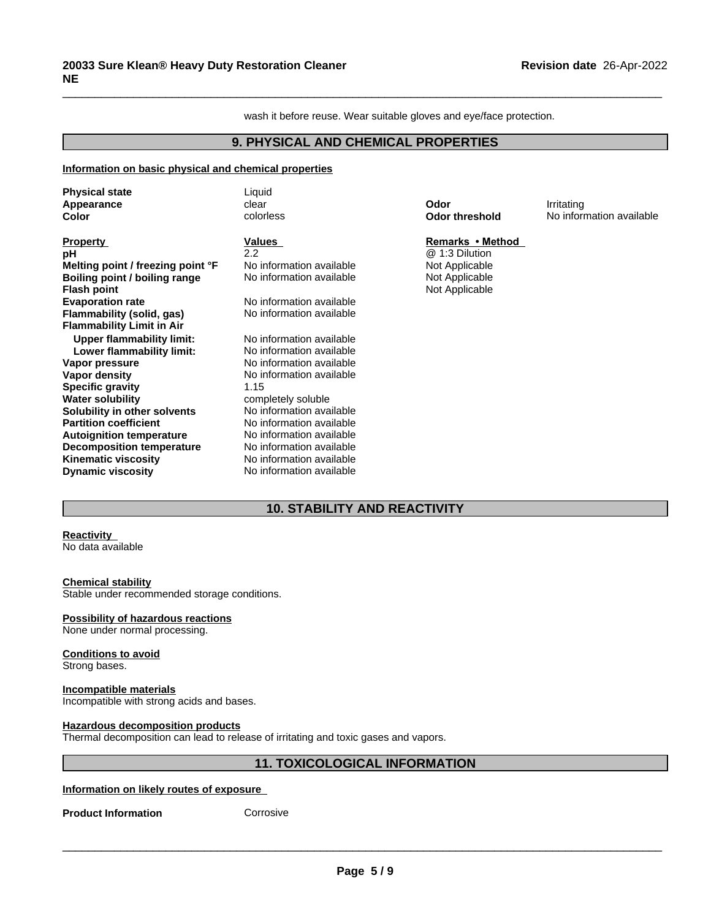wash it before reuse. Wear suitable gloves and eye/face protection.

 $\overline{\phantom{a}}$  ,  $\overline{\phantom{a}}$  ,  $\overline{\phantom{a}}$  ,  $\overline{\phantom{a}}$  ,  $\overline{\phantom{a}}$  ,  $\overline{\phantom{a}}$  ,  $\overline{\phantom{a}}$  ,  $\overline{\phantom{a}}$  ,  $\overline{\phantom{a}}$  ,  $\overline{\phantom{a}}$  ,  $\overline{\phantom{a}}$  ,  $\overline{\phantom{a}}$  ,  $\overline{\phantom{a}}$  ,  $\overline{\phantom{a}}$  ,  $\overline{\phantom{a}}$  ,  $\overline{\phantom{a}}$ 

# **9. PHYSICAL AND CHEMICAL PROPERTIES**

#### **Information on basic physical and chemical properties**

| <b>Physical state</b><br>Appearance                                                                                                                                                                                                                                                                                                              | Liquid<br>clear                                                                                                                                                                                                                                                                                                    | Odor                                                                                     | Irritating               |
|--------------------------------------------------------------------------------------------------------------------------------------------------------------------------------------------------------------------------------------------------------------------------------------------------------------------------------------------------|--------------------------------------------------------------------------------------------------------------------------------------------------------------------------------------------------------------------------------------------------------------------------------------------------------------------|------------------------------------------------------------------------------------------|--------------------------|
| Color                                                                                                                                                                                                                                                                                                                                            | colorless                                                                                                                                                                                                                                                                                                          | <b>Odor threshold</b>                                                                    | No information available |
| <b>Property</b><br>рH<br>Melting point / freezing point °F<br>Boiling point / boiling range<br><b>Flash point</b><br><b>Evaporation rate</b><br>Flammability (solid, gas)<br><b>Flammability Limit in Air</b>                                                                                                                                    | Values<br>$2.2\phantom{0}$<br>No information available<br>No information available<br>No information available<br>No information available                                                                                                                                                                         | Remarks • Method<br>@ 1:3 Dilution<br>Not Applicable<br>Not Applicable<br>Not Applicable |                          |
| <b>Upper flammability limit:</b><br>Lower flammability limit:<br>Vapor pressure<br>Vapor density<br><b>Specific gravity</b><br><b>Water solubility</b><br>Solubility in other solvents<br><b>Partition coefficient</b><br><b>Autoignition temperature</b><br>Decomposition temperature<br><b>Kinematic viscosity</b><br><b>Dynamic viscosity</b> | No information available<br>No information available<br>No information available<br>No information available<br>1.15<br>completely soluble<br>No information available<br>No information available<br>No information available<br>No information available<br>No information available<br>No information available |                                                                                          |                          |

# **10. STABILITY AND REACTIVITY**

#### **Reactivity** No data available

**Chemical stability** Stable under recommended storage conditions.

## **Possibility of hazardous reactions**

None under normal processing.

## **Conditions to avoid**

Strong bases.

#### **Incompatible materials**

Incompatible with strong acids and bases.

#### **Hazardous decomposition products**

Thermal decomposition can lead to release of irritating and toxic gases and vapors.

## **11. TOXICOLOGICAL INFORMATION**

### **Information on likely routes of exposure**

**Product Information Corrosive**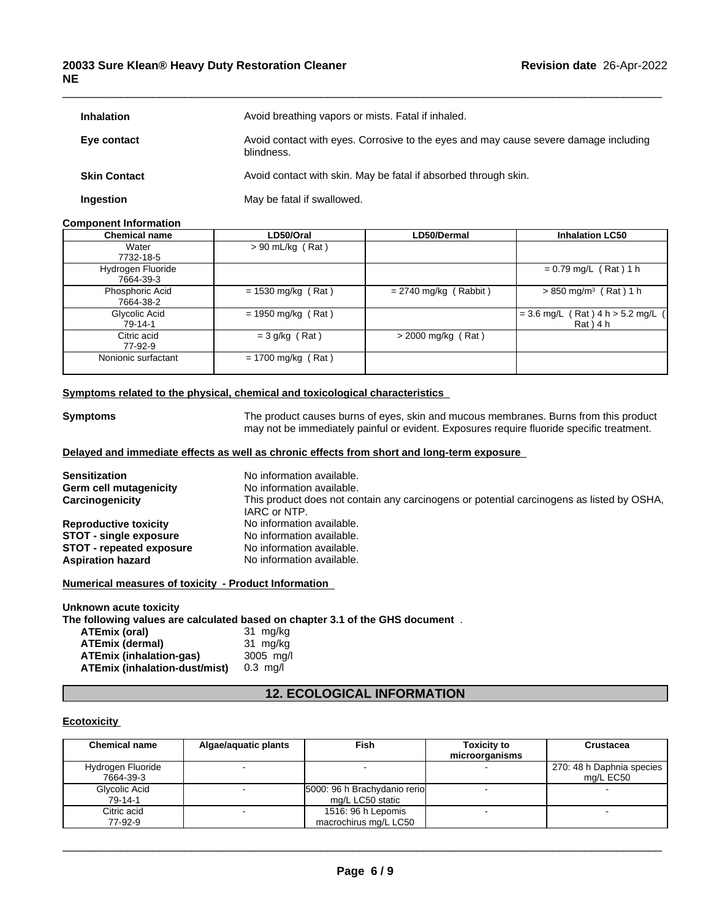## **20033 Sure Klean® Heavy Duty Restoration Cleaner NE**

| <b>Inhalation</b>   | Avoid breathing vapors or mists. Fatal if inhaled.                                                 |
|---------------------|----------------------------------------------------------------------------------------------------|
| Eye contact         | Avoid contact with eyes. Corrosive to the eyes and may cause severe damage including<br>blindness. |
| <b>Skin Contact</b> | Avoid contact with skin. May be fatal if absorbed through skin.                                    |
| Ingestion           | May be fatal if swallowed.                                                                         |

 $\overline{\phantom{a}}$  ,  $\overline{\phantom{a}}$  ,  $\overline{\phantom{a}}$  ,  $\overline{\phantom{a}}$  ,  $\overline{\phantom{a}}$  ,  $\overline{\phantom{a}}$  ,  $\overline{\phantom{a}}$  ,  $\overline{\phantom{a}}$  ,  $\overline{\phantom{a}}$  ,  $\overline{\phantom{a}}$  ,  $\overline{\phantom{a}}$  ,  $\overline{\phantom{a}}$  ,  $\overline{\phantom{a}}$  ,  $\overline{\phantom{a}}$  ,  $\overline{\phantom{a}}$  ,  $\overline{\phantom{a}}$ 

## **Component Information**

| <b>Chemical name</b>           | LD50/Oral            | <b>LD50/Dermal</b>      | <b>Inhalation LC50</b>                         |
|--------------------------------|----------------------|-------------------------|------------------------------------------------|
| Water<br>7732-18-5             | $> 90$ mL/kg (Rat)   |                         |                                                |
| Hydrogen Fluoride<br>7664-39-3 |                      |                         | $= 0.79$ mg/L (Rat) 1 h                        |
| Phosphoric Acid<br>7664-38-2   | $= 1530$ mg/kg (Rat) | $= 2740$ mg/kg (Rabbit) | $> 850$ mg/m <sup>3</sup> (Rat) 1 h            |
| Glycolic Acid<br>79-14-1       | $= 1950$ mg/kg (Rat) |                         | $= 3.6$ mg/L (Rat) 4 h > 5.2 mg/L<br>Rat ) 4 h |
| Citric acid<br>77-92-9         | $=$ 3 g/kg (Rat)     | $>$ 2000 mg/kg (Rat)    |                                                |
| Nonionic surfactant            | $= 1700$ mg/kg (Rat) |                         |                                                |

## **<u>Symptoms related to the physical, chemical and toxicological characteristics</u>**

| <b>Symptoms</b>                                | The product causes burns of eyes, skin and mucous membranes. Burns from this product<br>may not be immediately painful or evident. Exposures require fluoride specific treatment. |  |  |
|------------------------------------------------|-----------------------------------------------------------------------------------------------------------------------------------------------------------------------------------|--|--|
|                                                | Delayed and immediate effects as well as chronic effects from short and long-term exposure                                                                                        |  |  |
| <b>Sensitization</b><br>Germ cell mutagenicity | No information available.<br>No information available.                                                                                                                            |  |  |
| Carcinogenicity                                | This product does not contain any carcinogens or potential carcinogens as listed by OSHA,                                                                                         |  |  |

IARC or NTP.<br>No information available. **Reproductive toxicity No information available.**<br>**STOT - single exposure No information available. STOT** - single exposure<br> **STOT** - repeated exposure<br>
No information available. **STOT** - repeated exposure **Aspiration hazard** No information available.

## **Numerical measures of toxicity - Product Information**

# **Unknown acute toxicity**

**The following values are calculated based on chapter 3.1 of the GHS document** .

| ATEmix (oral)                  | 31 mg/kg           |
|--------------------------------|--------------------|
| ATEmix (dermal)                | 31 mg/kg           |
| <b>ATEmix (inhalation-gas)</b> | 3005 ma/l          |
| ATEmix (inhalation-dust/mist)  | $0.3 \text{ ma/l}$ |

## **12. ECOLOGICAL INFORMATION**

## **Ecotoxicity**

| <b>Chemical name</b>           | Algae/aquatic plants | Fish                                             | <b>Toxicity to</b><br>microorganisms | Crustacea                              |
|--------------------------------|----------------------|--------------------------------------------------|--------------------------------------|----------------------------------------|
| Hydrogen Fluoride<br>7664-39-3 |                      |                                                  |                                      | 270: 48 h Daphnia species<br>mg/L EC50 |
| Glycolic Acid<br>79-14-1       |                      | 5000: 96 h Brachydanio rerio<br>mg/L LC50 static |                                      |                                        |
| Citric acid<br>77-92-9         |                      | 1516: 96 h Lepomis<br>macrochirus mg/L LC50      |                                      |                                        |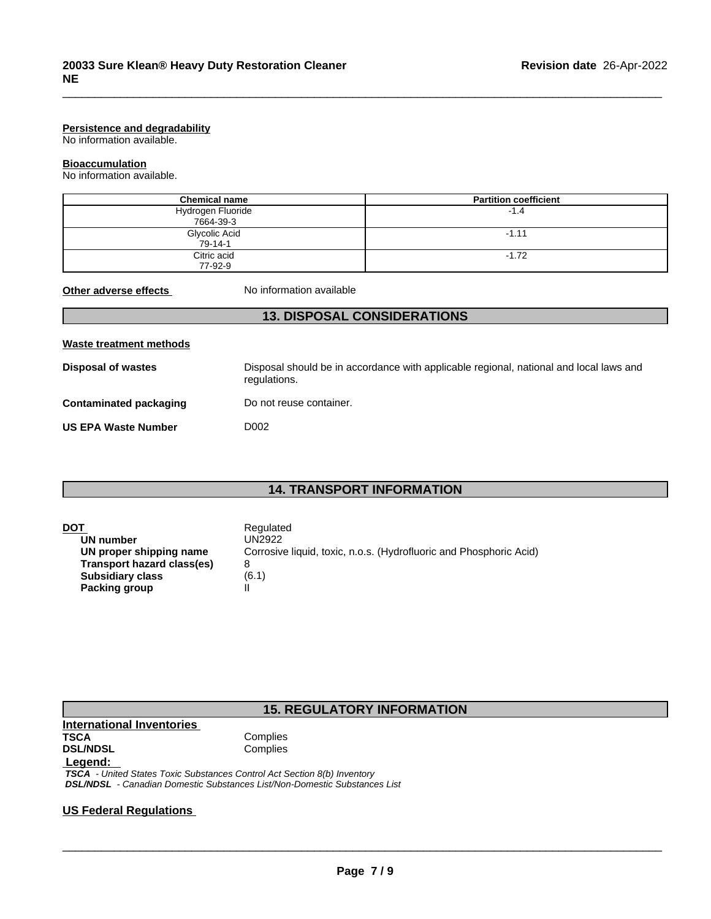#### **Persistence and degradability**

No information available.

#### **Bioaccumulation**

No information available.

| <b>Chemical name</b>           | <b>Partition coefficient</b> |
|--------------------------------|------------------------------|
| Hydrogen Fluoride<br>7664-39-3 | $-1.4$                       |
| Glycolic Acid<br>$79 - 14 - 1$ | $-1.11$                      |
| Citric acid<br>77-92-9         | $-1.72$                      |

 $\overline{\phantom{a}}$  ,  $\overline{\phantom{a}}$  ,  $\overline{\phantom{a}}$  ,  $\overline{\phantom{a}}$  ,  $\overline{\phantom{a}}$  ,  $\overline{\phantom{a}}$  ,  $\overline{\phantom{a}}$  ,  $\overline{\phantom{a}}$  ,  $\overline{\phantom{a}}$  ,  $\overline{\phantom{a}}$  ,  $\overline{\phantom{a}}$  ,  $\overline{\phantom{a}}$  ,  $\overline{\phantom{a}}$  ,  $\overline{\phantom{a}}$  ,  $\overline{\phantom{a}}$  ,  $\overline{\phantom{a}}$ 

**Other adverse effects** No information available

## **13. DISPOSAL CONSIDERATIONS**

| Waste treatment methods       |                                                                                                        |
|-------------------------------|--------------------------------------------------------------------------------------------------------|
| <b>Disposal of wastes</b>     | Disposal should be in accordance with applicable regional, national and local laws and<br>regulations. |
| <b>Contaminated packaging</b> | Do not reuse container.                                                                                |
| <b>US EPA Waste Number</b>    | D002                                                                                                   |

# **14. TRANSPORT INFORMATION**

| DOT                        | Regulated                                                          |
|----------------------------|--------------------------------------------------------------------|
| UN number                  | UN2922.                                                            |
| UN proper shipping name    | Corrosive liquid, toxic, n.o.s. (Hydrofluoric and Phosphoric Acid) |
| Transport hazard class(es) |                                                                    |
| <b>Subsidiary class</b>    | (6.1)                                                              |
| Packing group              |                                                                    |

# **15. REGULATORY INFORMATION**

# **International Inventories DSL/NDSL Legend:**

**Complies**<br>Complies

 *TSCA - United States Toxic Substances Control Act Section 8(b) Inventory DSL/NDSL - Canadian Domestic Substances List/Non-Domestic Substances List*

# **US Federal Regulations**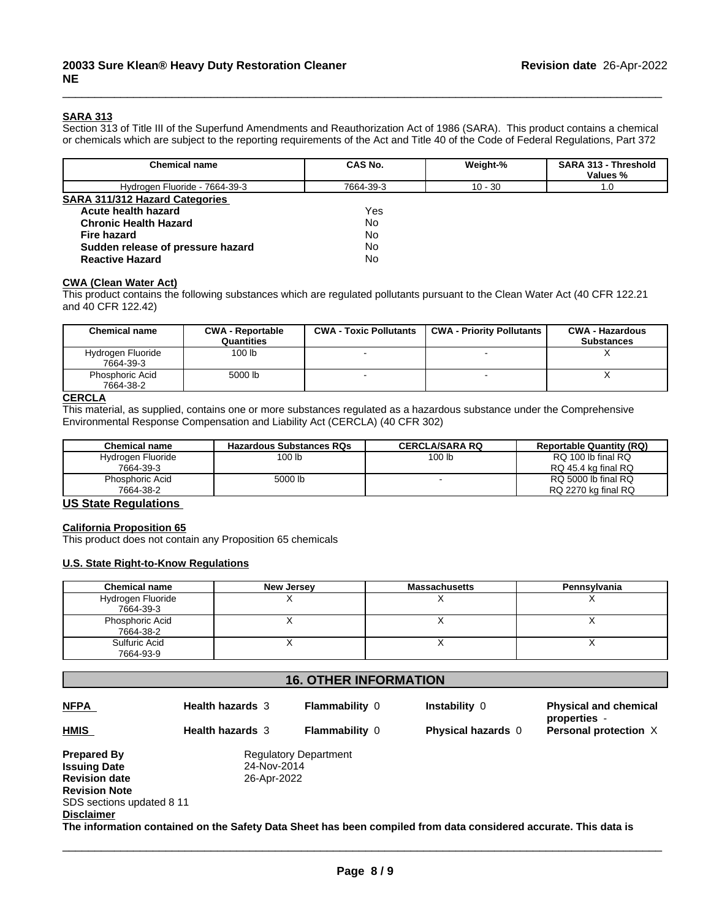## **SARA 313**

Section 313 of Title III of the Superfund Amendments and Reauthorization Act of 1986 (SARA). This product contains a chemical or chemicals which are subject to the reporting requirements of the Act and Title 40 of the Code of Federal Regulations, Part 372

 $\overline{\phantom{a}}$  ,  $\overline{\phantom{a}}$  ,  $\overline{\phantom{a}}$  ,  $\overline{\phantom{a}}$  ,  $\overline{\phantom{a}}$  ,  $\overline{\phantom{a}}$  ,  $\overline{\phantom{a}}$  ,  $\overline{\phantom{a}}$  ,  $\overline{\phantom{a}}$  ,  $\overline{\phantom{a}}$  ,  $\overline{\phantom{a}}$  ,  $\overline{\phantom{a}}$  ,  $\overline{\phantom{a}}$  ,  $\overline{\phantom{a}}$  ,  $\overline{\phantom{a}}$  ,  $\overline{\phantom{a}}$ 

| <b>Chemical name</b>                  | CAS No.   | Weight-%  | <b>SARA 313 - Threshold</b><br>Values % |
|---------------------------------------|-----------|-----------|-----------------------------------------|
| Hydrogen Fluoride - 7664-39-3         | 7664-39-3 | $10 - 30$ | 1.0                                     |
| <b>SARA 311/312 Hazard Categories</b> |           |           |                                         |
| Acute health hazard                   | Yes       |           |                                         |
| <b>Chronic Health Hazard</b>          | <b>No</b> |           |                                         |
| <b>Fire hazard</b>                    | No        |           |                                         |
| Sudden release of pressure hazard     | No        |           |                                         |
| <b>Reactive Hazard</b>                | <b>No</b> |           |                                         |

## **CWA (Clean WaterAct)**

This product contains the following substances which are regulated pollutants pursuant to the Clean Water Act (40 CFR 122.21 and 40 CFR 122.42)

| Chemical name                  | <b>CWA - Reportable</b><br>Quantities | <b>CWA - Toxic Pollutants</b> | <b>CWA - Priority Pollutants</b> | <b>CWA - Hazardous</b><br><b>Substances</b> |
|--------------------------------|---------------------------------------|-------------------------------|----------------------------------|---------------------------------------------|
| Hydrogen Fluoride<br>7664-39-3 | 100 lb                                |                               |                                  |                                             |
| Phosphoric Acid<br>7664-38-2   | 5000 lb                               |                               |                                  |                                             |

# **CERCLA**

This material, as supplied, contains one or more substances regulated as a hazardous substance under the Comprehensive Environmental Response Compensation and Liability Act (CERCLA) (40 CFR 302)

| <b>Chemical name</b>   | <b>Hazardous Substances RQs</b> | <b>CERCLA/SARA RQ</b> | <b>Reportable Quantity (RQ)</b> |
|------------------------|---------------------------------|-----------------------|---------------------------------|
| Hydrogen Fluoride      | 100 lb                          | 100 lb                | RQ 100 lb final RQ              |
| 7664-39-3              |                                 |                       | RQ 45.4 kg final RQ             |
| <b>Phosphoric Acid</b> | 5000 lb                         |                       | RQ 5000 lb final RQ             |
| 7664-38-2              |                                 |                       | RQ 2270 kg final RQ             |

# **US State Regulations**

#### **California Proposition 65**

This product does not contain any Proposition 65 chemicals

#### **U.S. State Right-to-Know Regulations**

| <b>Chemical name</b> | New Jersey | <b>Massachusetts</b> | Pennsylvania |
|----------------------|------------|----------------------|--------------|
| Hydrogen Fluoride    |            |                      |              |
| 7664-39-3            |            |                      |              |
| Phosphoric Acid      |            |                      |              |
| 7664-38-2            |            |                      |              |
| Sulfuric Acid        |            |                      |              |
| 7664-93-9            |            |                      |              |

# **16. OTHER INFORMATION**

| <b>NFPA</b>               | <b>Health hazards 3</b> | <b>Flammability 0</b>        | Instability 0                                                                                                    | <b>Physical and chemical</b><br>properties - |
|---------------------------|-------------------------|------------------------------|------------------------------------------------------------------------------------------------------------------|----------------------------------------------|
| <b>HMIS</b>               | <b>Health hazards</b> 3 | <b>Flammability 0</b>        | <b>Physical hazards 0</b>                                                                                        | Personal protection X                        |
| <b>Prepared By</b>        |                         | <b>Regulatory Department</b> |                                                                                                                  |                                              |
| <b>Issuing Date</b>       | 24-Nov-2014             |                              |                                                                                                                  |                                              |
| <b>Revision date</b>      | 26-Apr-2022             |                              |                                                                                                                  |                                              |
| <b>Revision Note</b>      |                         |                              |                                                                                                                  |                                              |
| SDS sections updated 8 11 |                         |                              |                                                                                                                  |                                              |
| <b>Disclaimer</b>         |                         |                              |                                                                                                                  |                                              |
|                           |                         |                              | The information contained on the Safety Data Sheet has been compiled from data considered accurate. This data is |                                              |